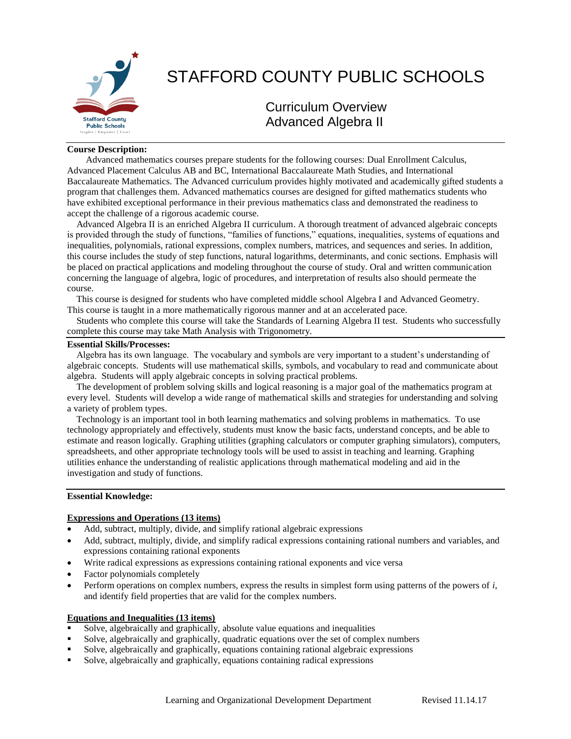

# STAFFORD COUNTY PUBLIC SCHOOLS

# Curriculum Overview Advanced Algebra II

## **Course Description:**

 Advanced mathematics courses prepare students for the following courses: Dual Enrollment Calculus, Advanced Placement Calculus AB and BC, International Baccalaureate Math Studies, and International Baccalaureate Mathematics. The Advanced curriculum provides highly motivated and academically gifted students a program that challenges them. Advanced mathematics courses are designed for gifted mathematics students who have exhibited exceptional performance in their previous mathematics class and demonstrated the readiness to accept the challenge of a rigorous academic course.

 Advanced Algebra II is an enriched Algebra II curriculum. A thorough treatment of advanced algebraic concepts is provided through the study of functions, "families of functions," equations, inequalities, systems of equations and inequalities, polynomials, rational expressions, complex numbers, matrices, and sequences and series. In addition, this course includes the study of step functions, natural logarithms, determinants, and conic sections. Emphasis will be placed on practical applications and modeling throughout the course of study. Oral and written communication concerning the language of algebra, logic of procedures, and interpretation of results also should permeate the course.

 This course is designed for students who have completed middle school Algebra I and Advanced Geometry. This course is taught in a more mathematically rigorous manner and at an accelerated pace.

 Students who complete this course will take the Standards of Learning Algebra II test. Students who successfully complete this course may take Math Analysis with Trigonometry.

# **Essential Skills/Processes:**

 Algebra has its own language. The vocabulary and symbols are very important to a student's understanding of algebraic concepts. Students will use mathematical skills, symbols, and vocabulary to read and communicate about algebra. Students will apply algebraic concepts in solving practical problems.

 The development of problem solving skills and logical reasoning is a major goal of the mathematics program at every level. Students will develop a wide range of mathematical skills and strategies for understanding and solving a variety of problem types.

 Technology is an important tool in both learning mathematics and solving problems in mathematics. To use technology appropriately and effectively, students must know the basic facts, understand concepts, and be able to estimate and reason logically. Graphing utilities (graphing calculators or computer graphing simulators), computers, spreadsheets, and other appropriate technology tools will be used to assist in teaching and learning. Graphing utilities enhance the understanding of realistic applications through mathematical modeling and aid in the investigation and study of functions.

#### **Essential Knowledge:**

#### **Expressions and Operations (13 items)**

- Add, subtract, multiply, divide, and simplify rational algebraic expressions
- Add, subtract, multiply, divide, and simplify radical expressions containing rational numbers and variables, and expressions containing rational exponents
- Write radical expressions as expressions containing rational exponents and vice versa
- Factor polynomials completely
- Perform operations on complex numbers, express the results in simplest form using patterns of the powers of *i*, and identify field properties that are valid for the complex numbers.

#### **Equations and Inequalities (13 items)**

- Solve, algebraically and graphically, absolute value equations and inequalities
- Solve, algebraically and graphically, quadratic equations over the set of complex numbers
- Solve, algebraically and graphically, equations containing rational algebraic expressions
- Solve, algebraically and graphically, equations containing radical expressions